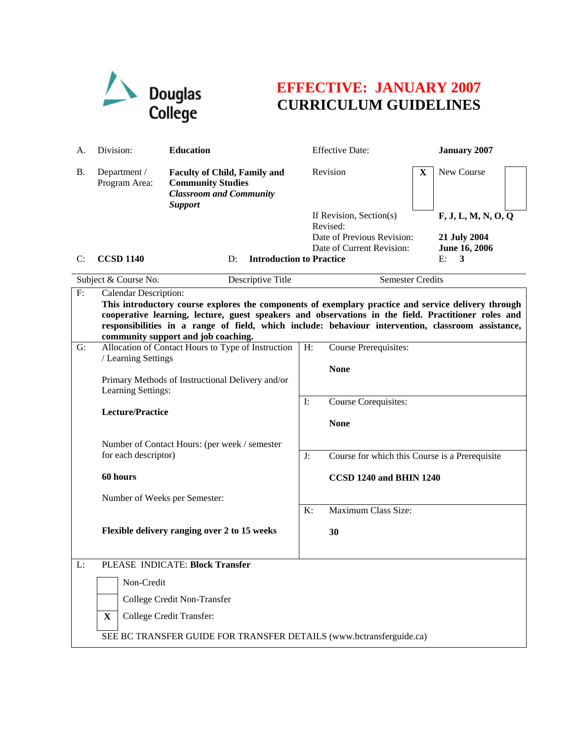

## **EFFECTIVE: JANUARY 2007 CURRICULUM GUIDELINES**

| А.                                                                                                                                                                                                                                                                                                                                                                                                      | Division:                                                                                                                                                                      | <b>Education</b>                                                                                                    |                | <b>Effective Date:</b>                                                                         |   | <b>January 2007</b>                                             |  |
|---------------------------------------------------------------------------------------------------------------------------------------------------------------------------------------------------------------------------------------------------------------------------------------------------------------------------------------------------------------------------------------------------------|--------------------------------------------------------------------------------------------------------------------------------------------------------------------------------|---------------------------------------------------------------------------------------------------------------------|----------------|------------------------------------------------------------------------------------------------|---|-----------------------------------------------------------------|--|
| В.                                                                                                                                                                                                                                                                                                                                                                                                      | Department /<br>Program Area:                                                                                                                                                  | <b>Faculty of Child, Family and</b><br><b>Community Studies</b><br><b>Classroom and Community</b><br><b>Support</b> |                | Revision                                                                                       | X | New Course                                                      |  |
| C:                                                                                                                                                                                                                                                                                                                                                                                                      | <b>CCSD 1140</b>                                                                                                                                                               | <b>Introduction to Practice</b><br>D:                                                                               |                | If Revision, Section(s)<br>Revised:<br>Date of Previous Revision:<br>Date of Current Revision: |   | F, J, L, M, N, O, Q<br>21 July 2004<br>June 16, 2006<br>E:<br>3 |  |
|                                                                                                                                                                                                                                                                                                                                                                                                         | Subject & Course No.<br>Descriptive Title                                                                                                                                      |                                                                                                                     |                | <b>Semester Credits</b>                                                                        |   |                                                                 |  |
| $\mathbf{F}$<br><b>Calendar Description:</b><br>This introductory course explores the components of exemplary practice and service delivery through<br>cooperative learning, lecture, guest speakers and observations in the field. Practitioner roles and<br>responsibilities in a range of field, which include: behaviour intervention, classroom assistance,<br>community support and job coaching. |                                                                                                                                                                                |                                                                                                                     |                |                                                                                                |   |                                                                 |  |
| G:                                                                                                                                                                                                                                                                                                                                                                                                      | Allocation of Contact Hours to Type of Instruction<br>/ Learning Settings<br>Primary Methods of Instructional Delivery and/or<br>Learning Settings:<br><b>Lecture/Practice</b> |                                                                                                                     | H:             | <b>Course Prerequisites:</b><br><b>None</b><br>Course Corequisites:                            |   |                                                                 |  |
|                                                                                                                                                                                                                                                                                                                                                                                                         |                                                                                                                                                                                |                                                                                                                     | $\mathbf{I}$ : |                                                                                                |   |                                                                 |  |
|                                                                                                                                                                                                                                                                                                                                                                                                         |                                                                                                                                                                                |                                                                                                                     | <b>None</b>    |                                                                                                |   |                                                                 |  |
|                                                                                                                                                                                                                                                                                                                                                                                                         | for each descriptor)                                                                                                                                                           | Number of Contact Hours: (per week / semester                                                                       | J:             | Course for which this Course is a Prerequisite                                                 |   |                                                                 |  |
|                                                                                                                                                                                                                                                                                                                                                                                                         | 60 hours<br>Number of Weeks per Semester:                                                                                                                                      |                                                                                                                     |                | CCSD 1240 and BHIN 1240                                                                        |   |                                                                 |  |
|                                                                                                                                                                                                                                                                                                                                                                                                         |                                                                                                                                                                                |                                                                                                                     | K:             | Maximum Class Size:                                                                            |   |                                                                 |  |
|                                                                                                                                                                                                                                                                                                                                                                                                         |                                                                                                                                                                                | Flexible delivery ranging over 2 to 15 weeks                                                                        |                | 30                                                                                             |   |                                                                 |  |
| L:                                                                                                                                                                                                                                                                                                                                                                                                      | PLEASE INDICATE: Block Transfer                                                                                                                                                |                                                                                                                     |                |                                                                                                |   |                                                                 |  |
|                                                                                                                                                                                                                                                                                                                                                                                                         | Non-Credit                                                                                                                                                                     |                                                                                                                     |                |                                                                                                |   |                                                                 |  |
|                                                                                                                                                                                                                                                                                                                                                                                                         |                                                                                                                                                                                | College Credit Non-Transfer                                                                                         |                |                                                                                                |   |                                                                 |  |
|                                                                                                                                                                                                                                                                                                                                                                                                         | College Credit Transfer:<br>$\mathbf{X}$                                                                                                                                       |                                                                                                                     |                |                                                                                                |   |                                                                 |  |
|                                                                                                                                                                                                                                                                                                                                                                                                         | SEE BC TRANSFER GUIDE FOR TRANSFER DETAILS (www.bctransferguide.ca)                                                                                                            |                                                                                                                     |                |                                                                                                |   |                                                                 |  |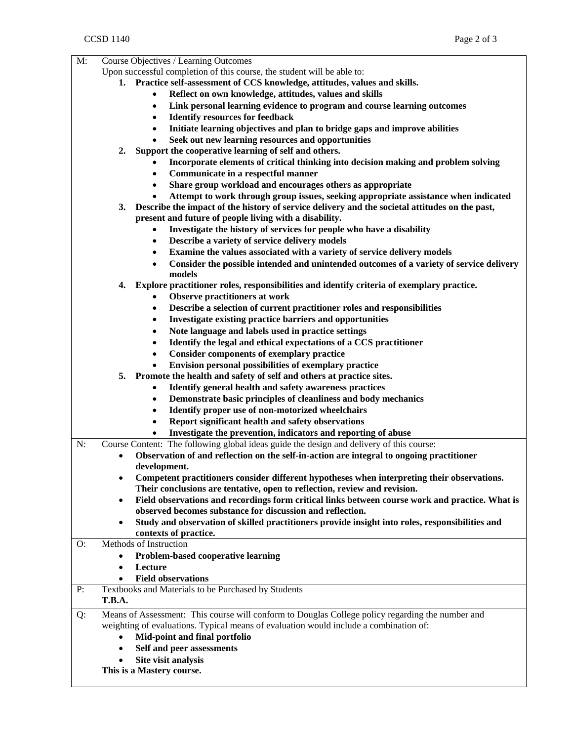| $M$ :<br>Course Objectives / Learning Outcomes |                                                                                                              |  |  |  |  |
|------------------------------------------------|--------------------------------------------------------------------------------------------------------------|--|--|--|--|
|                                                | Upon successful completion of this course, the student will be able to:                                      |  |  |  |  |
|                                                | 1. Practice self-assessment of CCS knowledge, attitudes, values and skills.                                  |  |  |  |  |
|                                                | Reflect on own knowledge, attitudes, values and skills                                                       |  |  |  |  |
|                                                | Link personal learning evidence to program and course learning outcomes<br>$\bullet$                         |  |  |  |  |
|                                                | <b>Identify resources for feedback</b><br>$\bullet$                                                          |  |  |  |  |
|                                                | Initiate learning objectives and plan to bridge gaps and improve abilities<br>$\bullet$                      |  |  |  |  |
|                                                | Seek out new learning resources and opportunities                                                            |  |  |  |  |
|                                                | 2.<br>Support the cooperative learning of self and others.                                                   |  |  |  |  |
|                                                |                                                                                                              |  |  |  |  |
|                                                | Incorporate elements of critical thinking into decision making and problem solving                           |  |  |  |  |
|                                                | Communicate in a respectful manner<br>$\bullet$                                                              |  |  |  |  |
|                                                | Share group workload and encourages others as appropriate<br>$\bullet$                                       |  |  |  |  |
|                                                | Attempt to work through group issues, seeking appropriate assistance when indicated                          |  |  |  |  |
|                                                | Describe the impact of the history of service delivery and the societal attitudes on the past,<br>3.         |  |  |  |  |
|                                                | present and future of people living with a disability.                                                       |  |  |  |  |
|                                                | Investigate the history of services for people who have a disability                                         |  |  |  |  |
|                                                | Describe a variety of service delivery models<br>٠                                                           |  |  |  |  |
|                                                | Examine the values associated with a variety of service delivery models<br>$\bullet$                         |  |  |  |  |
|                                                | Consider the possible intended and unintended outcomes of a variety of service delivery<br>$\bullet$         |  |  |  |  |
|                                                | models                                                                                                       |  |  |  |  |
|                                                | Explore practitioner roles, responsibilities and identify criteria of exemplary practice.<br>4.              |  |  |  |  |
|                                                |                                                                                                              |  |  |  |  |
|                                                | <b>Observe practitioners at work</b>                                                                         |  |  |  |  |
|                                                | Describe a selection of current practitioner roles and responsibilities<br>٠                                 |  |  |  |  |
|                                                | Investigate existing practice barriers and opportunities<br>٠                                                |  |  |  |  |
|                                                | Note language and labels used in practice settings<br>$\bullet$                                              |  |  |  |  |
|                                                | Identify the legal and ethical expectations of a CCS practitioner<br>$\bullet$                               |  |  |  |  |
|                                                | <b>Consider components of exemplary practice</b><br>$\bullet$                                                |  |  |  |  |
|                                                | Envision personal possibilities of exemplary practice                                                        |  |  |  |  |
|                                                | Promote the health and safety of self and others at practice sites.<br>5.                                    |  |  |  |  |
|                                                | Identify general health and safety awareness practices<br>$\bullet$                                          |  |  |  |  |
|                                                | Demonstrate basic principles of cleanliness and body mechanics<br>$\bullet$                                  |  |  |  |  |
|                                                | Identify proper use of non-motorized wheelchairs<br>$\bullet$                                                |  |  |  |  |
|                                                |                                                                                                              |  |  |  |  |
|                                                | Report significant health and safety observations<br>$\bullet$                                               |  |  |  |  |
|                                                | Investigate the prevention, indicators and reporting of abuse                                                |  |  |  |  |
| N:                                             | Course Content: The following global ideas guide the design and delivery of this course:                     |  |  |  |  |
|                                                | Observation of and reflection on the self-in-action are integral to ongoing practitioner<br>$\bullet$        |  |  |  |  |
|                                                | development.                                                                                                 |  |  |  |  |
|                                                | Competent practitioners consider different hypotheses when interpreting their observations.<br>٠             |  |  |  |  |
|                                                | Their conclusions are tentative, open to reflection, review and revision.                                    |  |  |  |  |
|                                                | Field observations and recordings form critical links between course work and practice. What is<br>$\bullet$ |  |  |  |  |
|                                                | observed becomes substance for discussion and reflection.                                                    |  |  |  |  |
|                                                | Study and observation of skilled practitioners provide insight into roles, responsibilities and<br>$\bullet$ |  |  |  |  |
|                                                | contexts of practice.                                                                                        |  |  |  |  |
| O:                                             | Methods of Instruction                                                                                       |  |  |  |  |
|                                                | Problem-based cooperative learning<br>$\bullet$                                                              |  |  |  |  |
|                                                |                                                                                                              |  |  |  |  |
|                                                | Lecture<br>$\bullet$                                                                                         |  |  |  |  |
|                                                | <b>Field observations</b><br>$\bullet$                                                                       |  |  |  |  |
| P:                                             | Textbooks and Materials to be Purchased by Students                                                          |  |  |  |  |
|                                                | T.B.A.                                                                                                       |  |  |  |  |
| Q:                                             | Means of Assessment: This course will conform to Douglas College policy regarding the number and             |  |  |  |  |
|                                                | weighting of evaluations. Typical means of evaluation would include a combination of:                        |  |  |  |  |
|                                                | Mid-point and final portfolio                                                                                |  |  |  |  |
|                                                | Self and peer assessments<br>$\bullet$                                                                       |  |  |  |  |
|                                                | Site visit analysis                                                                                          |  |  |  |  |
|                                                |                                                                                                              |  |  |  |  |
|                                                | This is a Mastery course.                                                                                    |  |  |  |  |